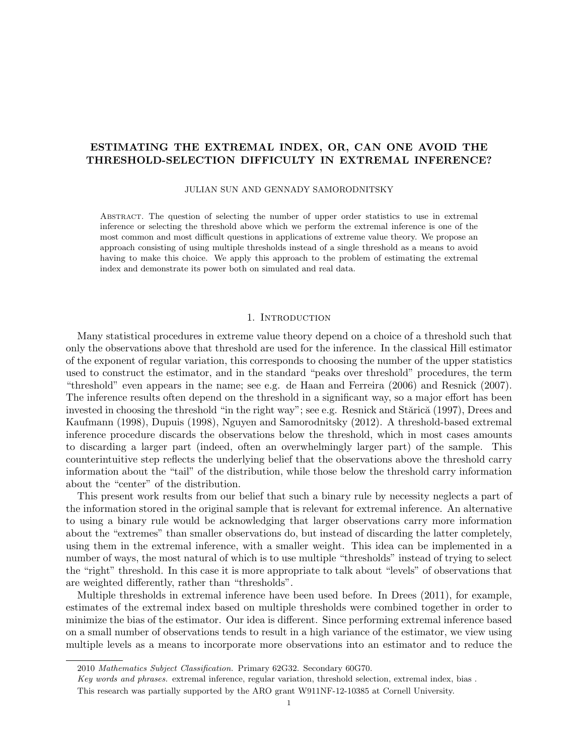# ESTIMATING THE EXTREMAL INDEX, OR, CAN ONE AVOID THE THRESHOLD-SELECTION DIFFICULTY IN EXTREMAL INFERENCE?

JULIAN SUN AND GENNADY SAMORODNITSKY

Abstract. The question of selecting the number of upper order statistics to use in extremal inference or selecting the threshold above which we perform the extremal inference is one of the most common and most difficult questions in applications of extreme value theory. We propose an approach consisting of using multiple thresholds instead of a single threshold as a means to avoid having to make this choice. We apply this approach to the problem of estimating the extremal index and demonstrate its power both on simulated and real data.

#### 1. INTRODUCTION

Many statistical procedures in extreme value theory depend on a choice of a threshold such that only the observations above that threshold are used for the inference. In the classical Hill estimator of the exponent of regular variation, this corresponds to choosing the number of the upper statistics used to construct the estimator, and in the standard "peaks over threshold" procedures, the term "threshold" even appears in the name; see e.g. de Haan and Ferreira (2006) and Resnick (2007). The inference results often depend on the threshold in a significant way, so a major effort has been invested in choosing the threshold "in the right way"; see e.g. Resnick and Stărică (1997), Drees and Kaufmann (1998), Dupuis (1998), Nguyen and Samorodnitsky (2012). A threshold-based extremal inference procedure discards the observations below the threshold, which in most cases amounts to discarding a larger part (indeed, often an overwhelmingly larger part) of the sample. This counterintuitive step reflects the underlying belief that the observations above the threshold carry information about the "tail" of the distribution, while those below the threshold carry information about the "center" of the distribution.

This present work results from our belief that such a binary rule by necessity neglects a part of the information stored in the original sample that is relevant for extremal inference. An alternative to using a binary rule would be acknowledging that larger observations carry more information about the "extremes" than smaller observations do, but instead of discarding the latter completely, using them in the extremal inference, with a smaller weight. This idea can be implemented in a number of ways, the most natural of which is to use multiple "thresholds" instead of trying to select the "right" threshold. In this case it is more appropriate to talk about "levels" of observations that are weighted differently, rather than "thresholds".

Multiple thresholds in extremal inference have been used before. In Drees (2011), for example, estimates of the extremal index based on multiple thresholds were combined together in order to minimize the bias of the estimator. Our idea is different. Since performing extremal inference based on a small number of observations tends to result in a high variance of the estimator, we view using multiple levels as a means to incorporate more observations into an estimator and to reduce the

Key words and phrases. extremal inference, regular variation, threshold selection, extremal index, bias.

<sup>2010</sup> Mathematics Subject Classification. Primary 62G32. Secondary 60G70.

This research was partially supported by the ARO grant W911NF-12-10385 at Cornell University.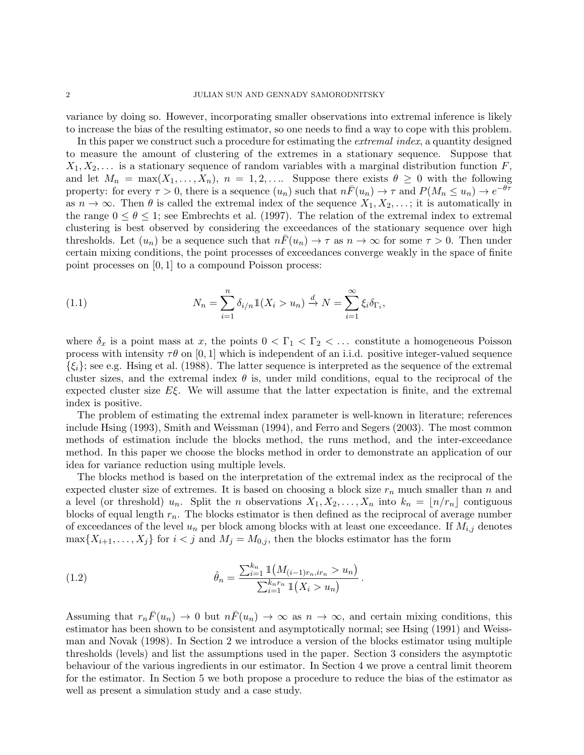variance by doing so. However, incorporating smaller observations into extremal inference is likely to increase the bias of the resulting estimator, so one needs to find a way to cope with this problem.

In this paper we construct such a procedure for estimating the *extremal index*, a quantity designed to measure the amount of clustering of the extremes in a stationary sequence. Suppose that  $X_1, X_2, \ldots$  is a stationary sequence of random variables with a marginal distribution function F, and let  $M_n = \max(X_1, \ldots, X_n)$ ,  $n = 1, 2, \ldots$  Suppose there exists  $\theta \geq 0$  with the following property: for every  $\tau > 0$ , there is a sequence  $(u_n)$  such that  $n\bar{F}(u_n) \to \tau$  and  $P(M_n \le u_n) \to e^{-\theta \tau}$ as  $n \to \infty$ . Then  $\theta$  is called the extremal index of the sequence  $X_1, X_2, \ldots$ ; it is automatically in the range  $0 \le \theta \le 1$ ; see Embrechts et al. (1997). The relation of the extremal index to extremal clustering is best observed by considering the exceedances of the stationary sequence over high thresholds. Let  $(u_n)$  be a sequence such that  $n\bar{F}(u_n) \to \tau$  as  $n \to \infty$  for some  $\tau > 0$ . Then under certain mixing conditions, the point processes of exceedances converge weakly in the space of finite point processes on [0, 1] to a compound Poisson process:

(1.1) 
$$
N_n = \sum_{i=1}^n \delta_{i/n} \mathbb{1}(X_i > u_n) \xrightarrow{d} N = \sum_{i=1}^\infty \xi_i \delta_{\Gamma_i},
$$

where  $\delta_x$  is a point mass at x, the points  $0 < \Gamma_1 < \Gamma_2 < \ldots$  constitute a homogeneous Poisson process with intensity  $\tau\theta$  on [0, 1] which is independent of an i.i.d. positive integer-valued sequence  $\{\xi_i\}$ ; see e.g. Hsing et al. (1988). The latter sequence is interpreted as the sequence of the extremal cluster sizes, and the extremal index  $\theta$  is, under mild conditions, equal to the reciprocal of the expected cluster size  $E\xi$ . We will assume that the latter expectation is finite, and the extremal index is positive.

The problem of estimating the extremal index parameter is well-known in literature; references include Hsing (1993), Smith and Weissman (1994), and Ferro and Segers (2003). The most common methods of estimation include the blocks method, the runs method, and the inter-exceedance method. In this paper we choose the blocks method in order to demonstrate an application of our idea for variance reduction using multiple levels.

The blocks method is based on the interpretation of the extremal index as the reciprocal of the expected cluster size of extremes. It is based on choosing a block size  $r_n$  much smaller than n and a level (or threshold)  $u_n$ . Split the *n* observations  $X_1, X_2, \ldots, X_n$  into  $k_n = \lfloor n/r_n \rfloor$  contiguous blocks of equal length  $r_n$ . The blocks estimator is then defined as the reciprocal of average number of exceedances of the level  $u_n$  per block among blocks with at least one exceedance. If  $M_{i,j}$  denotes  $\max\{X_{i+1},\ldots,X_j\}$  for  $i < j$  and  $M_j = M_{0,j}$ , then the blocks estimator has the form

(1.2) 
$$
\hat{\theta}_n = \frac{\sum_{i=1}^{k_n} \mathbb{1}(M_{(i-1)r_n, ir_n} > u_n)}{\sum_{i=1}^{k_n r_n} \mathbb{1}(X_i > u_n)}.
$$

Assuming that  $r_n\bar{F}(u_n) \to 0$  but  $n\bar{F}(u_n) \to \infty$  as  $n \to \infty$ , and certain mixing conditions, this estimator has been shown to be consistent and asymptotically normal; see Hsing (1991) and Weissman and Novak (1998). In Section 2 we introduce a version of the blocks estimator using multiple thresholds (levels) and list the assumptions used in the paper. Section 3 considers the asymptotic behaviour of the various ingredients in our estimator. In Section 4 we prove a central limit theorem for the estimator. In Section 5 we both propose a procedure to reduce the bias of the estimator as well as present a simulation study and a case study.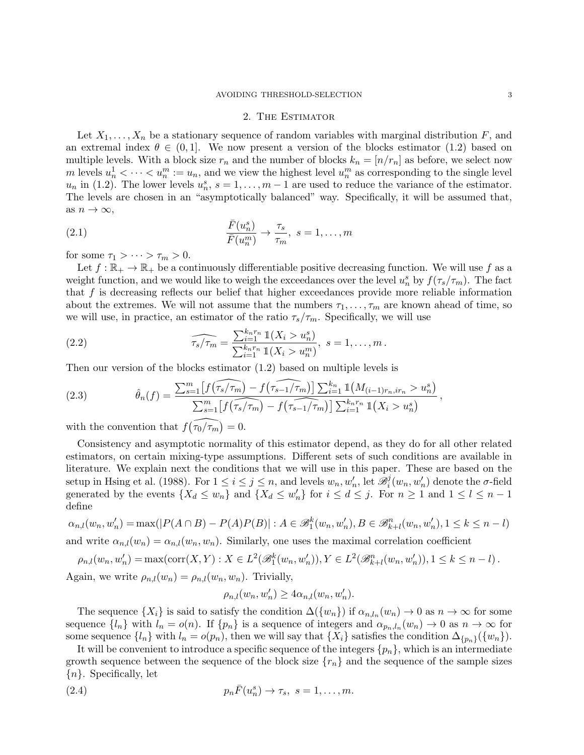#### 2. The Estimator

Let  $X_1, \ldots, X_n$  be a stationary sequence of random variables with marginal distribution F, and an extremal index  $\theta \in (0,1]$ . We now present a version of the blocks estimator (1.2) based on multiple levels. With a block size  $r_n$  and the number of blocks  $k_n = [n/r_n]$  as before, we select now m levels  $u_n^1 < \cdots < u_n^m := u_n$ , and we view the highest level  $u_n^m$  as corresponding to the single level  $u_n$  in (1.2). The lower levels  $u_n^s$ ,  $s = 1, \ldots, m-1$  are used to reduce the variance of the estimator. The levels are chosen in an "asymptotically balanced" way. Specifically, it will be assumed that, as  $n \to \infty$ ,

(2.1) 
$$
\frac{\bar{F}(u_n^s)}{\bar{F}(u_n^m)} \to \frac{\tau_s}{\tau_m}, \ s = 1, \dots, m
$$

for some  $\tau_1 > \cdots > \tau_m > 0$ .

Let  $f : \mathbb{R}_+ \to \mathbb{R}_+$  be a continuously differentiable positive decreasing function. We will use f as a weight function, and we would like to weigh the exceedances over the level  $u_n^s$  by  $f(\tau_s/\tau_m)$ . The fact that  $f$  is decreasing reflects our belief that higher exceedances provide more reliable information about the extremes. We will not assume that the numbers  $\tau_1, \ldots, \tau_m$  are known ahead of time, so we will use, in practice, an estimator of the ratio  $\tau_s/\tau_m$ . Specifically, we will use

(2.2) 
$$
\widehat{\tau_s/\tau_m} = \frac{\sum_{i=1}^{k_n r_n} \mathbb{1}(X_i > u_n^s)}{\sum_{i=1}^{k_n r_n} \mathbb{1}(X_i > u_n^m)}, \ s = 1, \dots, m.
$$

Then our version of the blocks estimator (1.2) based on multiple levels is

(2.3) 
$$
\hat{\theta}_n(f) = \frac{\sum_{s=1}^m \left[ f(\widehat{\tau_s/\tau_m}) - f(\widehat{\tau_{s-1}/\tau_m}) \right] \sum_{i=1}^{k_n} \mathbb{1}(M_{(i-1)r_n,ir_n} > u_n^s)}{\sum_{s=1}^m \left[ f(\widehat{\tau_s/\tau_m}) - f(\widehat{\tau_{s-1}/\tau_m}) \right] \sum_{i=1}^{k_n r_n} \mathbb{1}(X_i > u_n^s)},
$$

with the convention that  $f(\widehat{\tau_0/\tau_m}) = 0$ .

Consistency and asymptotic normality of this estimator depend, as they do for all other related estimators, on certain mixing-type assumptions. Different sets of such conditions are available in literature. We explain next the conditions that we will use in this paper. These are based on the setup in Hsing et al. (1988). For  $1 \leq i \leq j \leq n$ , and levels  $w_n, w'_n$ , let  $\mathscr{B}_i^j$  $i(w_n, w'_n)$  denote the  $\sigma$ -field generated by the events  $\{X_d \leq w_n\}$  and  $\{X_d \leq w'_n\}$  for  $i \leq d \leq j$ . For  $n \geq 1$  and  $1 \leq l \leq n-1$ define

$$
\alpha_{n,l}(w_n, w'_n) = \max(|P(A \cap B) - P(A)P(B)| : A \in \mathcal{B}_1^k(w_n, w'_n), B \in \mathcal{B}_{k+l}^n(w_n, w'_n), 1 \le k \le n - l)
$$
  
and write  $\alpha_{n,l}(w_n) = \alpha_{n,l}(w_n, w_n)$ . Similarly one uses the maximal correlation coefficient

and write 
$$
\alpha_{n,l}(w_n) = \alpha_{n,l}(w_n, w_n)
$$
. Similarly, one uses the maximal correlation coefficient

$$
\rho_{n,l}(w_n, w'_n) = \max(\text{corr}(X, Y) : X \in L^2(\mathcal{B}_1^k(w_n, w'_n)), Y \in L^2(\mathcal{B}_{k+l}^n(w_n, w'_n)), 1 \le k \le n - l).
$$
  
Again, we write  $\rho_{n,l}(w_n) = \rho_{n,l}(w_n, w_n)$ . Trivially,

$$
\rho_{n,l}(w_n, w'_n) \ge 4\alpha_{n,l}(w_n, w'_n).
$$

The sequence  $\{X_i\}$  is said to satisfy the condition  $\Delta(\{w_n\})$  if  $\alpha_{n,l_n}(w_n) \to 0$  as  $n \to \infty$  for some sequence  $\{l_n\}$  with  $l_n = o(n)$ . If  $\{p_n\}$  is a sequence of integers and  $\alpha_{p_n,l_n}(w_n) \to 0$  as  $n \to \infty$  for some sequence  $\{l_n\}$  with  $l_n = o(p_n)$ , then we will say that  $\{X_i\}$  satisfies the condition  $\Delta_{\{p_n\}}(\{w_n\})$ .

It will be convenient to introduce a specific sequence of the integers  $\{p_n\}$ , which is an intermediate growth sequence between the sequence of the block size  ${r_n}$  and the sequence of the sample sizes  ${n}$ . Specifically, let

(2.4) 
$$
p_n \bar{F}(u_n^s) \to \tau_s, \ s = 1, \ldots, m.
$$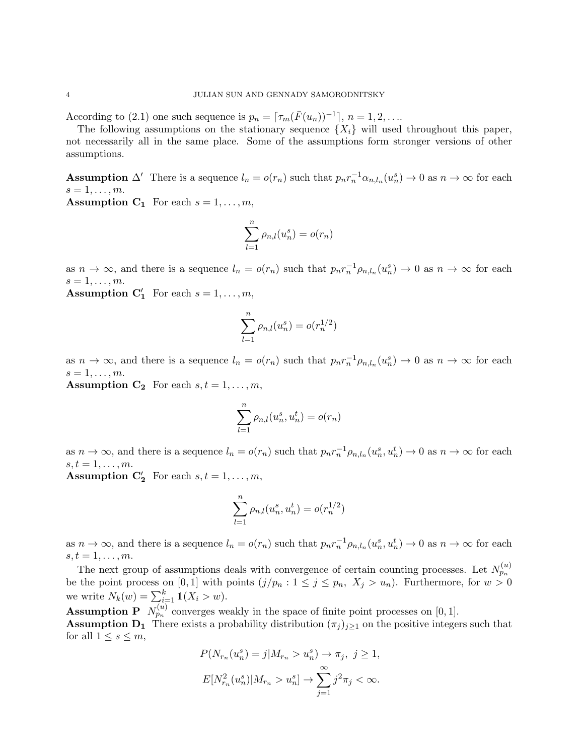According to (2.1) one such sequence is  $p_n = \lceil \tau_m(\bar{F}(u_n))^{-1} \rceil$ ,  $n = 1, 2, \ldots$ 

The following assumptions on the stationary sequence  $\{X_i\}$  will used throughout this paper, not necessarily all in the same place. Some of the assumptions form stronger versions of other assumptions.

**Assumption**  $\Delta'$  There is a sequence  $l_n = o(r_n)$  such that  $p_n r_n^{-1} \alpha_{n,l_n}(u_n^s) \to 0$  as  $n \to \infty$  for each  $s=1,\ldots,m$ .

**Assumption C<sub>1</sub>** For each  $s = 1, \ldots, m$ ,

$$
\sum_{l=1}^{n} \rho_{n,l}(u_n^s) = o(r_n)
$$

as  $n \to \infty$ , and there is a sequence  $l_n = o(r_n)$  such that  $p_n r_n^{-1} \rho_{n,l_n}(u_n^s) \to 0$  as  $n \to \infty$  for each  $s=1,\ldots,m$ .

**Assumption C'**<sub>1</sub> For each  $s = 1, ..., m$ ,

$$
\sum_{l=1}^{n} \rho_{n,l}(u_n^s) = o(r_n^{1/2})
$$

as  $n \to \infty$ , and there is a sequence  $l_n = o(r_n)$  such that  $p_n r_n^{-1} \rho_{n,l_n}(u_n^s) \to 0$  as  $n \to \infty$  for each  $s=1,\ldots,m$ .

**Assumption C<sub>2</sub>** For each  $s, t = 1, \ldots, m$ ,

$$
\sum_{l=1}^n \rho_{n,l}(u_n^s,u_n^t)=o(r_n)
$$

as  $n \to \infty$ , and there is a sequence  $l_n = o(r_n)$  such that  $p_n r_n^{-1} \rho_{n,l_n}(u_n^s, u_n^t) \to 0$  as  $n \to \infty$  for each  $s, t = 1, \ldots, m$ .

**Assumption C**'<sub>2</sub> For each  $s, t = 1, ..., m$ ,

$$
\sum_{l=1}^{n} \rho_{n,l}(u_n^s, u_n^t) = o(r_n^{1/2})
$$

as  $n \to \infty$ , and there is a sequence  $l_n = o(r_n)$  such that  $p_n r_n^{-1} \rho_{n,l_n}(u_n^s, u_n^t) \to 0$  as  $n \to \infty$  for each  $s, t = 1, \ldots, m$ .

The next group of assumptions deals with convergence of certain counting processes. Let  $N_{p_n}^{(u)}$ be the point process on [0, 1] with points  $(j/p_n : 1 \le j \le p_n, X_j > u_n)$ . Furthermore, for  $w > 0$ we write  $N_k(w) = \sum_{i=1}^k \mathbb{1}(X_i > w)$ .

**Assumption P**  $N_{p_n}^{(u)}$  converges weakly in the space of finite point processes on [0, 1]. **Assumption D<sub>1</sub>** There exists a probability distribution  $(\pi_i)_{i\geq 1}$  on the positive integers such that for all  $1 \leq s \leq m$ ,

$$
P(N_{r_n}(u_n^s) = j | M_{r_n} > u_n^s) \to \pi_j, \ j \ge 1,
$$
  

$$
E[N_{r_n}^2(u_n^s) | M_{r_n} > u_n^s] \to \sum_{j=1}^{\infty} j^2 \pi_j < \infty.
$$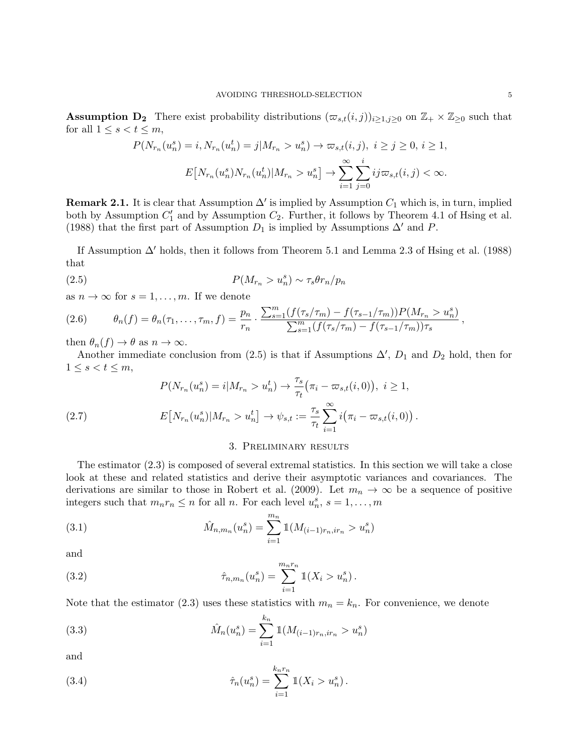**Assumption D<sub>2</sub>** There exist probability distributions  $(\varpi_{s,t}(i,j))_{i\geq 1,j\geq 0}$  on  $\mathbb{Z}_+ \times \mathbb{Z}_{\geq 0}$  such that for all  $1 \leq s < t \leq m$ ,

$$
P(N_{r_n}(u_n^s) = i, N_{r_n}(u_n^t) = j | M_{r_n} > u_n^s) \to \varpi_{s,t}(i,j), \ i \ge j \ge 0, \ i \ge 1,
$$
  

$$
E[N_{r_n}(u_n^s) N_{r_n}(u_n^t) | M_{r_n} > u_n^s] \to \sum_{i=1}^{\infty} \sum_{j=0}^i ij \varpi_{s,t}(i,j) < \infty.
$$

**Remark 2.1.** It is clear that Assumption  $\Delta'$  is implied by Assumption  $C_1$  which is, in turn, implied both by Assumption  $C'_1$  and by Assumption  $C_2$ . Further, it follows by Theorem 4.1 of Hsing et al. (1988) that the first part of Assumption  $D_1$  is implied by Assumptions  $\Delta'$  and P.

If Assumption  $\Delta'$  holds, then it follows from Theorem 5.1 and Lemma 2.3 of Hsing et al. (1988) that

$$
(2.5) \t\t P(M_{r_n} > u_n^s) \sim \tau_s \theta r_n / p_n
$$

as  $n \to \infty$  for  $s = 1, \ldots, m$ . If we denote

$$
(2.6) \qquad \theta_n(f) = \theta_n(\tau_1,\ldots,\tau_m,f) = \frac{p_n}{r_n} \cdot \frac{\sum_{s=1}^m (f(\tau_s/\tau_m) - f(\tau_{s-1}/\tau_m))P(M_{r_n} > u_n^s)}{\sum_{s=1}^m (f(\tau_s/\tau_m) - f(\tau_{s-1}/\tau_m))\tau_s},
$$

then  $\theta_n(f) \to \theta$  as  $n \to \infty$ .

Another immediate conclusion from (2.5) is that if Assumptions  $\Delta'$ ,  $D_1$  and  $D_2$  hold, then for  $1 \leq s < t \leq m$ ,

(2.7) 
$$
P(N_{r_n}(u_n^s) = i | M_{r_n} > u_n^t) \to \frac{\tau_s}{\tau_t} (\pi_i - \varpi_{s,t}(i,0)), \ i \ge 1,
$$

$$
E[N_{r_n}(u_n^s) | M_{r_n} > u_n^t] \to \psi_{s,t} := \frac{\tau_s}{\tau_t} \sum_{i=1}^{\infty} i (\pi_i - \varpi_{s,t}(i,0)).
$$

#### 3. Preliminary results

The estimator (2.3) is composed of several extremal statistics. In this section we will take a close look at these and related statistics and derive their asymptotic variances and covariances. The derivations are similar to those in Robert et al. (2009). Let  $m_n \to \infty$  be a sequence of positive integers such that  $m_n r_n \leq n$  for all *n*. For each level  $u_n^s$ ,  $s = 1, ..., m$ 

(3.1) 
$$
\hat{M}_{n,m_n}(u_n^s) = \sum_{i=1}^{m_n} 1\!\!1(M_{(i-1)r_n,ir_n} > u_n^s)
$$

and

(3.2) 
$$
\hat{\tau}_{n,m_n}(u_n^s) = \sum_{i=1}^{m_n r_n} 1(X_i > u_n^s).
$$

Note that the estimator (2.3) uses these statistics with  $m_n = k_n$ . For convenience, we denote

(3.3) 
$$
\hat{M}_n(u_n^s) = \sum_{i=1}^{k_n} 1(M_{(i-1)r_n,ir_n} > u_n^s)
$$

and

(3.4) 
$$
\hat{\tau}_n(u_n^s) = \sum_{i=1}^{k_n r_n} 1(X_i > u_n^s).
$$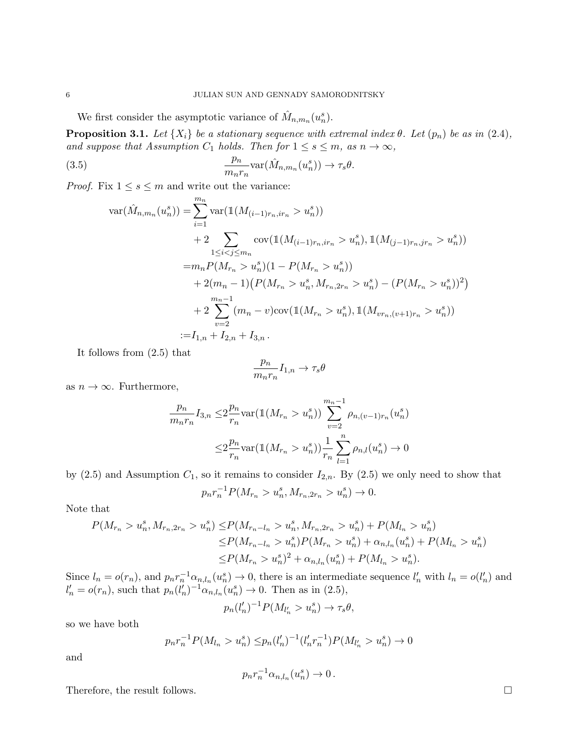We first consider the asymptotic variance of  $\hat{M}_{n,m_n}(u_n^s)$ .

**Proposition 3.1.** Let  $\{X_i\}$  be a stationary sequence with extremal index  $\theta$ . Let  $(p_n)$  be as in (2.4), and suppose that Assumption  $C_1$  holds. Then for  $1 \leq s \leq m$ , as  $n \to \infty$ ,

(3.5) 
$$
\frac{p_n}{m_n r_n} \text{var}(\hat{M}_{n,m_n}(u_n^s)) \to \tau_s \theta.
$$

*Proof.* Fix  $1 \leq s \leq m$  and write out the variance:

$$
\begin{split} \text{var}(\hat{M}_{n,m_n}(u_n^s)) &= \sum_{i=1}^{m_n} \text{var}(\mathbb{1}(M_{(i-1)r_n,ir_n} > u_n^s)) \\ &+ 2 \sum_{1 \le i < j \le m_n} \text{cov}(\mathbb{1}(M_{(i-1)r_n,ir_n} > u_n^s), \mathbb{1}(M_{(j-1)r_n,ir_n} > u_n^s)) \\ &= m_n P(M_{r_n} > u_n^s)(1 - P(M_{r_n} > u_n^s)) \\ &+ 2(m_n - 1)\big(P(M_{r_n} > u_n^s, M_{r_n,2r_n} > u_n^s) - (P(M_{r_n} > u_n^s))^2\big) \\ &+ 2 \sum_{v=2}^{m_n - 1} (m_n - v) \text{cov}(\mathbb{1}(M_{r_n} > u_n^s), \mathbb{1}(M_{vr_n,(v+1)r_n} > u_n^s)) \\ &:= I_{1,n} + I_{2,n} + I_{3,n} \,. \end{split}
$$

It follows from (2.5) that

$$
\frac{p_n}{m_nr_n}I_{1,n}\to \tau_s\theta
$$

as  $n \to \infty$ . Furthermore,

$$
\frac{p_n}{m_n r_n} I_{3,n} \leq 2 \frac{p_n}{r_n} \text{var}(\mathbb{1}(M_{r_n} > u_n^s)) \sum_{v=2}^{m_n - 1} \rho_{n,(v-1)r_n}(u_n^s)
$$

$$
\leq 2 \frac{p_n}{r_n} \text{var}(\mathbb{1}(M_{r_n} > u_n^s)) \frac{1}{r_n} \sum_{l=1}^n \rho_{n,l}(u_n^s) \to 0
$$

by  $(2.5)$  and Assumption  $C_1$ , so it remains to consider  $I_{2,n}$ . By  $(2.5)$  we only need to show that

$$
p_n r_n^{-1} P(M_{r_n} > u_n^s, M_{r_n, 2r_n} > u_n^s) \to 0.
$$

Note that

$$
P(M_{r_n} > u_n^s, M_{r_n, 2r_n} > u_n^s) \le P(M_{r_n - l_n} > u_n^s, M_{r_n, 2r_n} > u_n^s) + P(M_{l_n} > u_n^s)
$$
  
\n
$$
\le P(M_{r_n - l_n} > u_n^s)P(M_{r_n} > u_n^s) + \alpha_{n, l_n}(u_n^s) + P(M_{l_n} > u_n^s)
$$
  
\n
$$
\le P(M_{r_n} > u_n^s)^2 + \alpha_{n, l_n}(u_n^s) + P(M_{l_n} > u_n^s).
$$

Since  $l_n = o(r_n)$ , and  $p_n r_n^{-1} \alpha_{n,l_n}(u_n^s) \to 0$ , there is an intermediate sequence  $l'_n$  with  $l_n = o(l'_n)$  and  $l'_n = o(r_n)$ , such that  $p_n(l'_n)^{-1} \alpha_{n,l_n}(u_n^s) \to 0$ . Then as in (2.5),

$$
p_n(l'_n)^{-1}P(M_{l'_n} > u^s_n) \to \tau_s \theta,
$$

so we have both

$$
p_n r_n^{-1} P(M_{l_n} > u_n^s) \leq p_n (l'_n)^{-1} (l'_n r_n^{-1}) P(M_{l'_n} > u_n^s) \to 0
$$

and

$$
p_n r_n^{-1} \alpha_{n,l_n}(u_n^s) \to 0.
$$

Therefore, the result follows.  $\Box$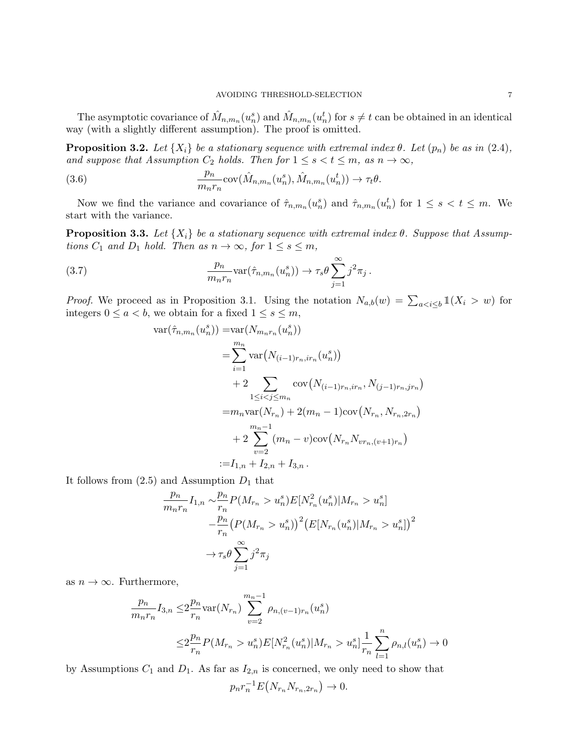The asymptotic covariance of  $\hat{M}_{n,m_n}(u_n^s)$  and  $\hat{M}_{n,m_n}(u_n^t)$  for  $s \neq t$  can be obtained in an identical way (with a slightly different assumption). The proof is omitted.

**Proposition 3.2.** Let  $\{X_i\}$  be a stationary sequence with extremal index  $\theta$ . Let  $(p_n)$  be as in (2.4), and suppose that Assumption  $C_2$  holds. Then for  $1 \leq s < t \leq m$ , as  $n \to \infty$ ,

(3.6) 
$$
\frac{p_n}{m_nr_n} \text{cov}(\hat{M}_{n,m_n}(u_n^s), \hat{M}_{n,m_n}(u_n^t)) \to \tau_t \theta.
$$

Now we find the variance and covariance of  $\hat{\tau}_{n,m_n}(u_n^s)$  and  $\hat{\tau}_{n,m_n}(u_n^t)$  for  $1 \leq s < t \leq m$ . We start with the variance.

**Proposition 3.3.** Let  $\{X_i\}$  be a stationary sequence with extremal index  $\theta$ . Suppose that Assumptions  $C_1$  and  $D_1$  hold. Then as  $n \to \infty$ , for  $1 \leq s \leq m$ ,

(3.7) 
$$
\frac{p_n}{m_n r_n} \text{var}(\hat{\tau}_{n,m_n}(u_n^s)) \to \tau_s \theta \sum_{j=1}^{\infty} j^2 \pi_j.
$$

*Proof.* We proceed as in Proposition 3.1. Using the notation  $N_{a,b}(w) = \sum_{a \le i \le b} \mathbb{1}(X_i > w)$  for integers  $0 \le a < b$ , we obtain for a fixed  $1 \le s \le m$ ,

$$
\begin{split} \text{var}(\hat{\tau}_{n,m_n}(u_n^s)) &= \text{var}(N_{m_nr_n}(u_n^s)) \\ &= \sum_{i=1}^{m_n} \text{var}\big(N_{(i-1)r_n,ir_n}(u_n^s)\big) \\ &+ 2 \sum_{1 \le i < j \le m_n} \text{cov}\big(N_{(i-1)r_n,ir_n}, N_{(j-1)r_n,jr_n}\big) \\ &= m_n \text{var}(N_{r_n}) + 2(m_n - 1)\text{cov}\big(N_{r_n}, N_{r_n,2r_n}\big) \\ &+ 2 \sum_{v=2}^{m_n - 1} (m_n - v)\text{cov}\big(N_{r_n} N_{vr_n,(v+1)r_n}\big) \\ &:= I_{1,n} + I_{2,n} + I_{3,n} \,. \end{split}
$$

It follows from  $(2.5)$  and Assumption  $D_1$  that

$$
\frac{p_n}{m_n r_n} I_{1,n} \sim \frac{p_n}{r_n} P(M_{r_n} > u_n^s) E[N_{r_n}^2(u_n^s)|M_{r_n} > u_n^s]
$$

$$
- \frac{p_n}{r_n} (P(M_{r_n} > u_n^s))^2 (E[N_{r_n}(u_n^s)|M_{r_n} > u_n^s])^2
$$

$$
\to \tau_s \theta \sum_{j=1}^{\infty} j^2 \tau_j
$$

as  $n \to \infty$ . Furthermore,

$$
\frac{p_n}{m_n r_n} I_{3,n} \leq 2 \frac{p_n}{r_n} \text{var}(N_{r_n}) \sum_{v=2}^{m_n - 1} \rho_{n,(v-1)r_n}(u_n^s)
$$
\n
$$
\leq 2 \frac{p_n}{r_n} P(M_{r_n} > u_n^s) E[N_{r_n}^2(u_n^s)|M_{r_n} > u_n^s] \frac{1}{r_n} \sum_{l=1}^n \rho_{n,l}(u_n^s) \to 0
$$

by Assumptions  $C_1$  and  $D_1$ . As far as  $I_{2,n}$  is concerned, we only need to show that

 $p_n r_n^{-1} E(N_{r_n} N_{r_n, 2r_n}) \to 0.$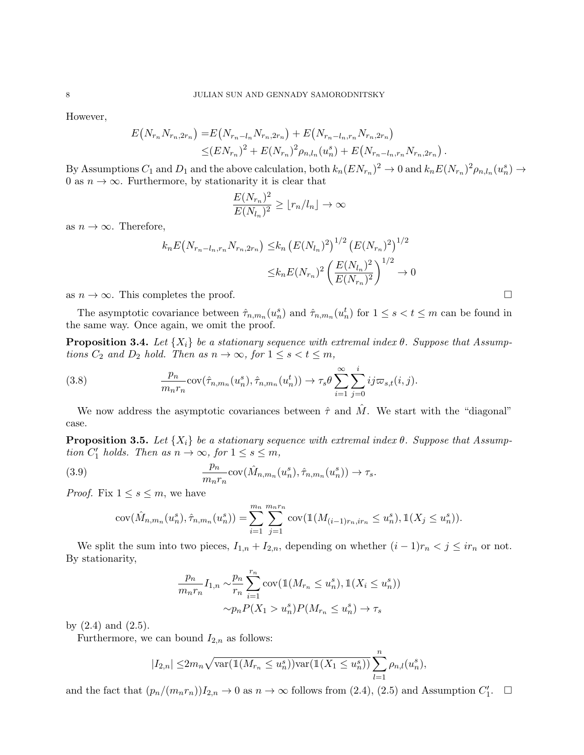However,

$$
E(N_{r_n}N_{r_n,2r_n}) = E(N_{r_n-l_n}N_{r_n,2r_n}) + E(N_{r_n-l_n,r_n}N_{r_n,2r_n})
$$
  

$$
\leq (EN_{r_n})^2 + E(N_{r_n})^2 \rho_{n,l_n}(u_n^s) + E(N_{r_n-l_n,r_n}N_{r_n,2r_n})
$$

By Assumptions  $C_1$  and  $D_1$  and the above calculation, both  $k_n (EN_{r_n})^2 \to 0$  and  $k_n E(N_{r_n})^2 \rho_{n,l_n}(u_n^s) \to$ 0 as  $n \to \infty$ . Furthermore, by stationarity it is clear that

.

$$
\frac{E(N_{r_n})^2}{E(N_{l_n})^2} \ge \lfloor r_n/l_n \rfloor \to \infty
$$

as  $n \to \infty$ . Therefore,

$$
k_n E\big(N_{r_n-l_n,r_n} N_{r_n,2r_n}\big) \leq k_n \left(E(N_{l_n})^2\right)^{1/2} \left(E(N_{r_n})^2\right)^{1/2}
$$

$$
\leq k_n E(N_{r_n})^2 \left(\frac{E(N_{l_n})^2}{E(N_{r_n})^2}\right)^{1/2} \to 0
$$

as  $n \to \infty$ . This completes the proof.

The asymptotic covariance between  $\hat{\tau}_{n,m_n}(u_n^s)$  and  $\hat{\tau}_{n,m_n}(u_n^t)$  for  $1 \leq s < t \leq m$  can be found in the same way. Once again, we omit the proof.

**Proposition 3.4.** Let  $\{X_i\}$  be a stationary sequence with extremal index  $\theta$ . Suppose that Assumptions  $C_2$  and  $D_2$  hold. Then as  $n \to \infty$ , for  $1 \leq s < t \leq m$ ,

(3.8) 
$$
\frac{p_n}{m_n r_n} \operatorname{cov}(\hat{\tau}_{n,m_n}(u_n^s), \hat{\tau}_{n,m_n}(u_n^t)) \to \tau_s \theta \sum_{i=1}^{\infty} \sum_{j=0}^i ij \varpi_{s,t}(i,j).
$$

We now address the asymptotic covariances between  $\hat{\tau}$  and  $\hat{M}$ . We start with the "diagonal" case.

**Proposition 3.5.** Let  $\{X_i\}$  be a stationary sequence with extremal index  $\theta$ . Suppose that Assumption  $C'_1$  holds. Then as  $n \to \infty$ , for  $1 \le s \le m$ ,

(3.9) 
$$
\frac{p_n}{m_n r_n} \operatorname{cov}(\hat{M}_{n,m_n}(u_n^s), \hat{\tau}_{n,m_n}(u_n^s)) \to \tau_s.
$$

*Proof.* Fix  $1 \leq s \leq m$ , we have

$$
cov(\hat{M}_{n,m_n}(u_n^s), \hat{\tau}_{n,m_n}(u_n^s)) = \sum_{i=1}^{m_n} \sum_{j=1}^{m_n r_n} cov(\mathbb{1}(M_{(i-1)r_n,ir_n} \le u_n^s), \mathbb{1}(X_j \le u_n^s)).
$$

We split the sum into two pieces,  $I_{1,n} + I_{2,n}$ , depending on whether  $(i-1)r_n < j \leq ir_n$  or not. By stationarity,

$$
\frac{p_n}{m_n r_n} I_{1,n} \sim \frac{p_n}{r_n} \sum_{i=1}^{r_n} \text{cov}(\mathbb{1}(M_{r_n} \le u_n^s), \mathbb{1}(X_i \le u_n^s))
$$

$$
\sim p_n P(X_1 > u_n^s) P(M_{r_n} \le u_n^s) \to \tau_s
$$

by  $(2.4)$  and  $(2.5)$ .

Furthermore, we can bound  $I_{2,n}$  as follows:

$$
|I_{2,n}| \leq 2m_n \sqrt{\text{var}(\mathbb{1}(M_{r_n} \leq u_n^s))\text{var}(\mathbb{1}(X_1 \leq u_n^s))} \sum_{l=1}^n \rho_{n,l}(u_n^s),
$$

and the fact that  $(p_n/(m_nr_n))I_{2,n} \to 0$  as  $n \to \infty$  follows from (2.4), (2.5) and Assumption  $C'_1$ .  $\Box$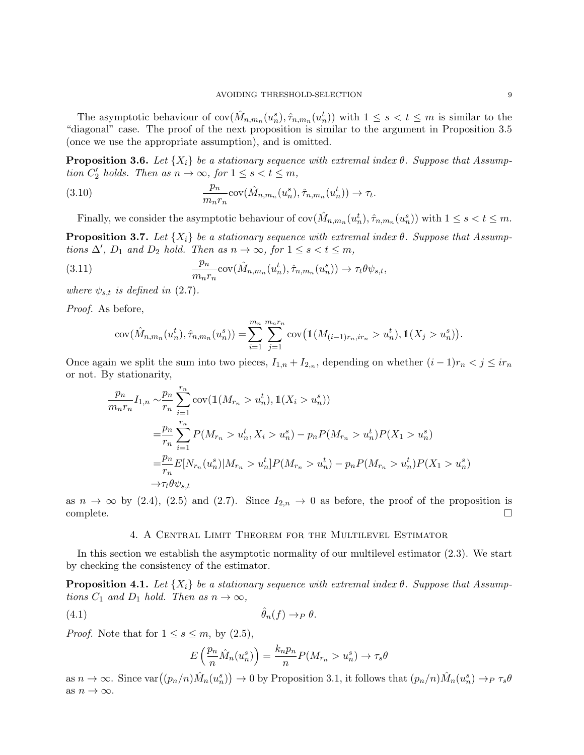The asymptotic behaviour of  $cov(\hat{M}_{n,m_n}(u_n^s),\hat{\tau}_{n,m_n}(u_n^t))$  with  $1 \leq s < t \leq m$  is similar to the "diagonal" case. The proof of the next proposition is similar to the argument in Proposition 3.5 (once we use the appropriate assumption), and is omitted.

**Proposition 3.6.** Let  $\{X_i\}$  be a stationary sequence with extremal index  $\theta$ . Suppose that Assumption  $C'_2$  holds. Then as  $n \to \infty$ , for  $1 \le s < t \le m$ ,

(3.10) 
$$
\frac{p_n}{m_nr_n} \text{cov}(\hat{M}_{n,m_n}(u_n^s), \hat{\tau}_{n,m_n}(u_n^t)) \to \tau_t.
$$

Finally, we consider the asymptotic behaviour of  $cov(\hat{M}_{n,m_n}(u_n^t),\hat{\tau}_{n,m_n}(u_n^s))$  with  $1 \leq s < t \leq m$ . **Proposition 3.7.** Let  $\{X_i\}$  be a stationary sequence with extremal index  $\theta$ . Suppose that Assumptions  $\Delta'$ ,  $D_1$  and  $D_2$  hold. Then as  $n \to \infty$ , for  $1 \leq s < t \leq m$ ,

(3.11) 
$$
\frac{p_n}{m_n r_n} \operatorname{cov}(\hat{M}_{n,m_n}(u_n^t), \hat{\tau}_{n,m_n}(u_n^s)) \to \tau_t \theta \psi_{s,t},
$$

where  $\psi_{s,t}$  is defined in (2.7).

Proof. As before,

$$
cov(\hat{M}_{n,m_n}(u_n^t), \hat{\tau}_{n,m_n}(u_n^s)) = \sum_{i=1}^{m_n} \sum_{j=1}^{m_n r_n} cov(\mathbb{1}(M_{(i-1)r_n,ir_n} > u_n^t), \mathbb{1}(X_j > u_n^s)).
$$

Once again we split the sum into two pieces,  $I_{1,n} + I_{2,n}$ , depending on whether  $(i-1)r_n < j \leq ir_n$ or not. By stationarity,

$$
\frac{p_n}{m_n r_n} I_{1,n} \sim \frac{p_n}{r_n} \sum_{i=1}^{r_n} \text{cov}(\mathbb{1}(M_{r_n} > u_n^t), \mathbb{1}(X_i > u_n^s))
$$
\n
$$
= \frac{p_n}{r_n} \sum_{i=1}^{r_n} P(M_{r_n} > u_n^t, X_i > u_n^s) - p_n P(M_{r_n} > u_n^t) P(X_1 > u_n^s)
$$
\n
$$
= \frac{p_n}{r_n} E[N_{r_n}(u_n^s)|M_{r_n} > u_n^t] P(M_{r_n} > u_n^t) - p_n P(M_{r_n} > u_n^t) P(X_1 > u_n^s)
$$
\n
$$
\to \tau_t \theta \psi_{s,t}
$$

as  $n \to \infty$  by (2.4), (2.5) and (2.7). Since  $I_{2,n} \to 0$  as before, the proof of the proposition is  $\Box$ complete.  $\Box$ 

## 4. A Central Limit Theorem for the Multilevel Estimator

In this section we establish the asymptotic normality of our multilevel estimator (2.3). We start by checking the consistency of the estimator.

**Proposition 4.1.** Let  $\{X_i\}$  be a stationary sequence with extremal index  $\theta$ . Suppose that Assumptions  $C_1$  and  $D_1$  hold. Then as  $n \to \infty$ ,

$$
\hat{\theta}_n(f) \to_P \theta.
$$

*Proof.* Note that for  $1 \leq s \leq m$ , by  $(2.5)$ ,

$$
E\left(\frac{p_n}{n}\hat{M}_n(u_n^s)\right) = \frac{k_n p_n}{n} P(M_{r_n} > u_n^s) \to \tau_s \theta
$$

as  $n \to \infty$ . Since  $\text{var}((p_n/n)\hat{M}_n(u_n^s)) \to 0$  by Proposition 3.1, it follows that  $(p_n/n)\hat{M}_n(u_n^s) \to_P \tau_s \theta$ as  $n \to \infty$ .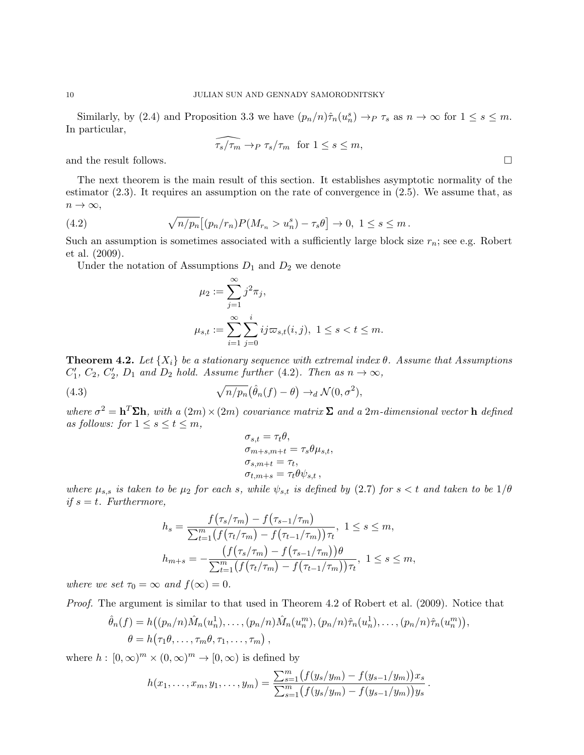Similarly, by (2.4) and Proposition 3.3 we have  $(p_n/n)\hat{\tau}_n(u_n^s) \to_P \tau_s$  as  $n \to \infty$  for  $1 \leq s \leq m$ . In particular,

$$
\widehat{\tau_s/\tau_m} \to_P \tau_s/\tau_m \text{ for } 1 \le s \le m,
$$

and the result follows.  $\Box$ 

The next theorem is the main result of this section. It establishes asymptotic normality of the estimator (2.3). It requires an assumption on the rate of convergence in (2.5). We assume that, as  $n \to \infty$ ,

(4.2) 
$$
\sqrt{n/p_n} [(p_n/r_n) P(M_{r_n} > u_n^s) - \tau_s \theta] \to 0, \ 1 \le s \le m.
$$

Such an assumption is sometimes associated with a sufficiently large block size  $r_n$ ; see e.g. Robert et al. (2009).

Under the notation of Assumptions  $D_1$  and  $D_2$  we denote

$$
\mu_2 := \sum_{j=1}^{\infty} j^2 \pi_j,
$$
  

$$
\mu_{s,t} := \sum_{i=1}^{\infty} \sum_{j=0}^{i} ij \varpi_{s,t}(i,j), \ 1 \le s < t \le m.
$$

**Theorem 4.2.** Let  $\{X_i\}$  be a stationary sequence with extremal index  $\theta$ . Assume that Assumptions  $C'_1, C_2, C'_2, D_1$  and  $D_2$  hold. Assume further (4.2). Then as  $n \to \infty$ ,

(4.3)  $\sqrt{n/p_n}(\hat{\theta}_n(f) - \theta) \rightarrow_d \mathcal{N}(0, \sigma^2),$ 

where  $\sigma^2 = h^T \Sigma h$ , with a  $(2m) \times (2m)$  covariance matrix  $\Sigma$  and a 2m-dimensional vector h defined as follows: for  $1 \leq s \leq t \leq m$ ,

$$
\sigma_{s,t} = \tau_t \theta,
$$
  
\n
$$
\sigma_{m+s,m+t} = \tau_s \theta \mu_{s,t},
$$
  
\n
$$
\sigma_{s,m+t} = \tau_t,
$$
  
\n
$$
\sigma_{t,m+s} = \tau_t \theta \psi_{s,t},
$$

where  $\mu_{s,s}$  is taken to be  $\mu_2$  for each s, while  $\psi_{s,t}$  is defined by (2.7) for  $s < t$  and taken to be  $1/\theta$ if  $s = t$ . Furthermore,

$$
h_s = \frac{f(\tau_s/\tau_m) - f(\tau_{s-1}/\tau_m)}{\sum_{t=1}^m (f(\tau_t/\tau_m) - f(\tau_{t-1}/\tau_m))\tau_t}, \ 1 \le s \le m,
$$
  

$$
h_{m+s} = -\frac{(f(\tau_s/\tau_m) - f(\tau_{s-1}/\tau_m))\theta}{\sum_{t=1}^m (f(\tau_t/\tau_m) - f(\tau_{t-1}/\tau_m))\tau_t}, \ 1 \le s \le m,
$$

where we set  $\tau_0 = \infty$  and  $f(\infty) = 0$ .

Proof. The argument is similar to that used in Theorem 4.2 of Robert et al. (2009). Notice that

$$
\hat{\theta}_n(f) = h\big((p_n/n)\hat{M}_n(u_n^1), \dots, (p_n/n)\hat{M}_n(u_n^m), (p_n/n)\hat{\tau}_n(u_n^1), \dots, (p_n/n)\hat{\tau}_n(u_n^m)\big),
$$
  

$$
\theta = h\big(\tau_1\theta, \dots, \tau_m\theta, \tau_1, \dots, \tau_m\big),
$$

where  $h: [0, \infty)^m \times (0, \infty)^m \to [0, \infty)$  is defined by

$$
h(x_1,\ldots,x_m,y_1,\ldots,y_m)=\frac{\sum_{s=1}^m\big(f(y_s/y_m)-f(y_{s-1}/y_m)\big)x_s}{\sum_{s=1}^m\big(f(y_s/y_m)-f(y_{s-1}/y_m)\big)y_s}.
$$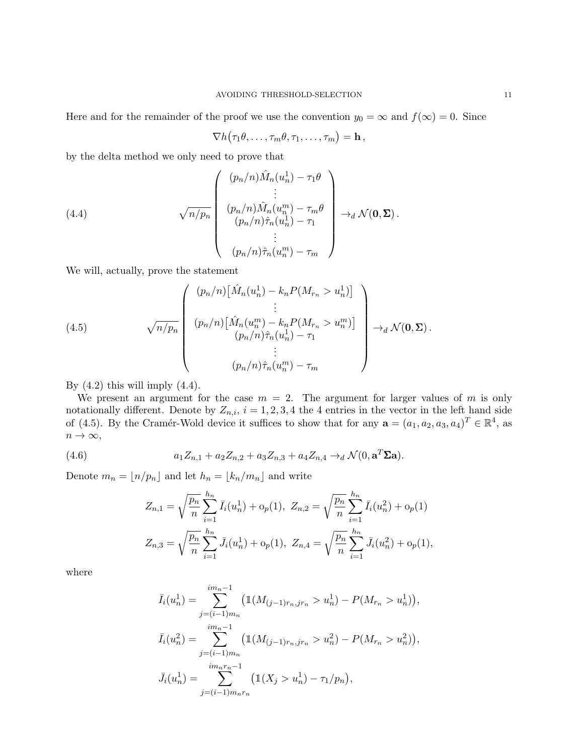Here and for the remainder of the proof we use the convention  $y_0 = \infty$  and  $f(\infty) = 0$ . Since

$$
\nabla h(\tau_1\theta,\ldots,\tau_m\theta,\tau_1,\ldots,\tau_m)=\mathbf{h}\,,
$$

by the delta method we only need to prove that

(4.4)  

$$
\sqrt{n/p_n} \begin{pmatrix} (p_n/n)\hat{M}_n(u_n^1) - \tau_1\theta \\ \vdots \\ (p_n/n)\hat{M}_n(u_n^m) - \tau_m\theta \\ (p_n/n)\hat{\tau}_n(u_n^1) - \tau_1 \\ \vdots \\ (p_n/n)\hat{\tau}_n(u_n^m) - \tau_m \end{pmatrix} \rightarrow_d \mathcal{N}(\mathbf{0}, \Sigma).
$$

We will, actually, prove the statement

(4.5) 
$$
\sqrt{n/p_n} \begin{pmatrix} (p_n/n) \big[ \hat{M}_n(u_n^1) - k_n P(M_{r_n} > u_n^1) \big] \\ \vdots \\ (p_n/n) \big[ \hat{M}_n(u_n^m) - k_n P(M_{r_n} > u_n^m) \big] \\ (p_n/n) \hat{\tau}_n(u_n^1) - \tau_1 \\ \vdots \\ (p_n/n) \hat{\tau}_n(u_n^m) - \tau_m \end{pmatrix} \rightarrow_d \mathcal{N}(\mathbf{0}, \Sigma).
$$

By  $(4.2)$  this will imply  $(4.4)$ .

We present an argument for the case  $m = 2$ . The argument for larger values of m is only notationally different. Denote by  $Z_{n,i}$ ,  $i = 1, 2, 3, 4$  the 4 entries in the vector in the left hand side of (4.5). By the Cramér-Wold device it suffices to show that for any  $\mathbf{a} = (a_1, a_2, a_3, a_4)^T \in \mathbb{R}^4$ , as  $n \to \infty$ ,

(4.6) 
$$
a_1 Z_{n,1} + a_2 Z_{n,2} + a_3 Z_{n,3} + a_4 Z_{n,4} \rightarrow_d \mathcal{N}(0, \mathbf{a}^T \Sigma \mathbf{a}).
$$

Denote  $m_n = \lfloor n/p_n \rfloor$  and let  $h_n = \lfloor k_n/m_n \rfloor$  and write

$$
Z_{n,1} = \sqrt{\frac{p_n}{n}} \sum_{i=1}^{h_n} \bar{I}_i(u_n^1) + o_p(1), \ Z_{n,2} = \sqrt{\frac{p_n}{n}} \sum_{i=1}^{h_n} \bar{I}_i(u_n^2) + o_p(1)
$$

$$
Z_{n,3} = \sqrt{\frac{p_n}{n}} \sum_{i=1}^{h_n} \bar{J}_i(u_n^1) + o_p(1), \ Z_{n,4} = \sqrt{\frac{p_n}{n}} \sum_{i=1}^{h_n} \bar{J}_i(u_n^2) + o_p(1),
$$

where

$$
\bar{I}_i(u_n^1) = \sum_{j=(i-1)m_n}^{im_n-1} \left( \mathbb{1}(M_{(j-1)r_n,jr_n} > u_n^1) - P(M_{r_n} > u_n^1) \right),
$$
\n
$$
\bar{I}_i(u_n^2) = \sum_{j=(i-1)m_n}^{im_n-1} \left( \mathbb{1}(M_{(j-1)r_n,jr_n} > u_n^2) - P(M_{r_n} > u_n^2) \right),
$$
\n
$$
\bar{J}_i(u_n^1) = \sum_{j=(i-1)m_n r_n}^{im_n r_n-1} \left( \mathbb{1}(X_j > u_n^1) - \tau_1/p_n \right),
$$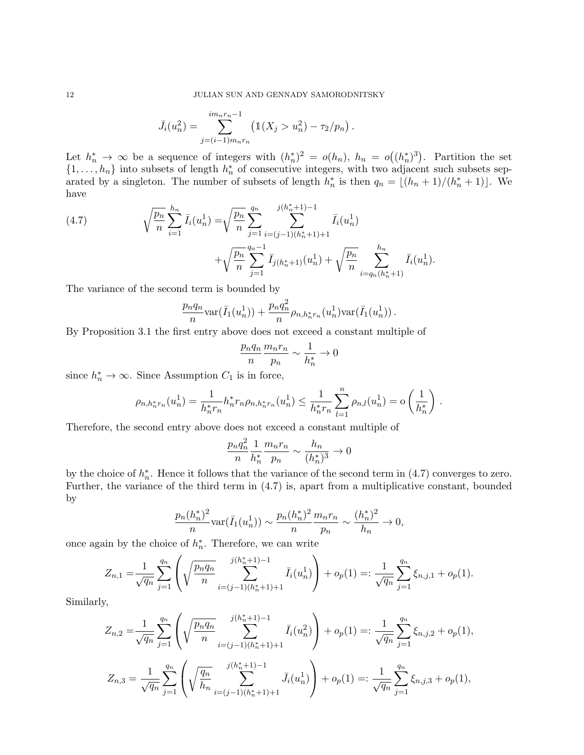$$
\bar{J}_i(u_n^2) = \sum_{j=(i-1)m_n r_n}^{im_n r_n - 1} \left( \mathbb{1}(X_j > u_n^2) - \tau_2/p_n \right).
$$

Let  $h_n^* \to \infty$  be a sequence of integers with  $(h_n^*)^2 = o(h_n)$ ,  $h_n = o((h_n^*)^3)$ . Partition the set  $\{1,\ldots,h_n\}$  into subsets of length  $h_n^*$  of consecutive integers, with two adjacent such subsets separated by a singleton. The number of subsets of length  $h_n^*$  is then  $q_n = \lfloor (h_n + 1)/(h_n^* + 1) \rfloor$ . We have

(4.7) 
$$
\sqrt{\frac{p_n}{n}} \sum_{i=1}^{h_n} \bar{I}_i(u_n^1) = \sqrt{\frac{p_n}{n}} \sum_{j=1}^{q_n} \sum_{i=(j-1)(h_n^*+1)+1}^{j(h_n^*+1)-1} \bar{I}_i(u_n^1) + \sqrt{\frac{p_n}{n}} \sum_{i=q_n(h_n^*+1)}^{h_n} \bar{I}_i(u_n^1).
$$

The variance of the second term is bounded by

$$
\frac{p_n q_n}{n} \text{var}(\bar{I}_1(u_n^1)) + \frac{p_n q_n^2}{n} \rho_{n,h_n^* r_n}(u_n^1) \text{var}(\bar{I}_1(u_n^1)) .
$$

By Proposition 3.1 the first entry above does not exceed a constant multiple of

$$
\frac{p_n q_n}{n} \frac{m_n r_n}{p_n} \sim \frac{1}{h_n^*} \to 0
$$

since  $h_n^* \to \infty$ . Since Assumption  $C_1$  is in force,

$$
\rho_{n,h_n^*r_n}(u_n^1) = \frac{1}{h_n^*r_n} h_n^*r_n \rho_{n,h_n^*r_n}(u_n^1) \leq \frac{1}{h_n^*r_n} \sum_{l=1}^n \rho_{n,l}(u_n^1) = o\left(\frac{1}{h_n^*}\right).
$$

Therefore, the second entry above does not exceed a constant multiple of

$$
\frac{p_n q_n^2}{n} \frac{1}{h_n^*} \frac{m_n r_n}{p_n} \sim \frac{h_n}{(h_n^*)^3} \to 0
$$

by the choice of  $h_n^*$ . Hence it follows that the variance of the second term in (4.7) converges to zero. Further, the variance of the third term in (4.7) is, apart from a multiplicative constant, bounded by

$$
\frac{p_n(h_n^*)^2}{n} \text{var}(\bar{I}_1(u_n^1)) \sim \frac{p_n(h_n^*)^2}{n} \frac{m_n r_n}{p_n} \sim \frac{(h_n^*)^2}{h_n} \to 0,
$$

once again by the choice of  $h_n^*$ . Therefore, we can write

$$
Z_{n,1} = \frac{1}{\sqrt{q_n}} \sum_{j=1}^{q_n} \left( \sqrt{\frac{p_n q_n}{n}} \sum_{i=(j-1)(h_n^*+1)+1}^{j(h_n^*+1)-1} \bar{I}_i(u_n^1) \right) + o_p(1) =: \frac{1}{\sqrt{q_n}} \sum_{j=1}^{q_n} \xi_{n,j,1} + o_p(1).
$$

Similarly,

$$
Z_{n,2} = \frac{1}{\sqrt{q_n}} \sum_{j=1}^{q_n} \left( \sqrt{\frac{p_n q_n}{n}} \sum_{i=(j-1)(h_n^*+1)+1}^{j(h_n^*+1)-1} \bar{I}_i(u_n^2) \right) + o_p(1) =: \frac{1}{\sqrt{q_n}} \sum_{j=1}^{q_n} \xi_{n,j,2} + o_p(1),
$$
  

$$
Z_{n,3} = \frac{1}{\sqrt{q_n}} \sum_{j=1}^{q_n} \left( \sqrt{\frac{q_n}{h_n}} \sum_{i=(j-1)(h_n^*+1)+1}^{j(h_n^*+1)-1} \bar{J}_i(u_n^1) \right) + o_p(1) =: \frac{1}{\sqrt{q_n}} \sum_{j=1}^{q_n} \xi_{n,j,3} + o_p(1),
$$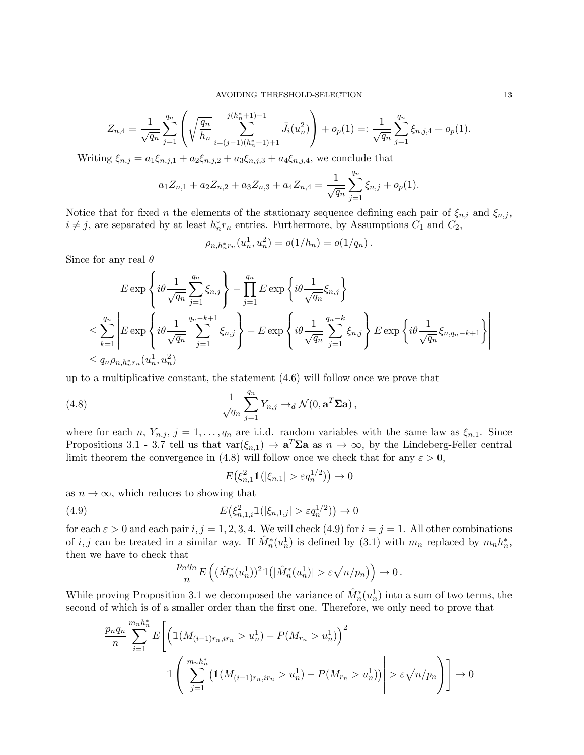$$
Z_{n,4} = \frac{1}{\sqrt{q_n}} \sum_{j=1}^{q_n} \left( \sqrt{\frac{q_n}{h_n}} \sum_{i=(j-1)(h_n^*+1)+1}^{j(h_n^*+1)-1} \bar{J}_i(u_n^2) \right) + o_p(1) =: \frac{1}{\sqrt{q_n}} \sum_{j=1}^{q_n} \xi_{n,j,4} + o_p(1).
$$

Writing  $\xi_{n,j} = a_1 \xi_{n,j,1} + a_2 \xi_{n,j,2} + a_3 \xi_{n,j,3} + a_4 \xi_{n,j,4}$ , we conclude that

$$
a_1 Z_{n,1} + a_2 Z_{n,2} + a_3 Z_{n,3} + a_4 Z_{n,4} = \frac{1}{\sqrt{q_n}} \sum_{j=1}^{q_n} \xi_{n,j} + o_p(1).
$$

Notice that for fixed n the elements of the stationary sequence defining each pair of  $\xi_{n,i}$  and  $\xi_{n,j}$ ,  $i \neq j$ , are separated by at least  $h_n^* r_n$  entries. Furthermore, by Assumptions  $C_1$  and  $C_2$ ,

$$
\rho_{n,h_n^*r_n}(u_n^1, u_n^2) = o(1/h_n) = o(1/q_n).
$$

Since for any real  $\theta$ 

$$
\begin{aligned}\n&E\exp\left\{i\theta \frac{1}{\sqrt{q_n}}\sum_{j=1}^{q_n} \xi_{n,j}\right\} - \prod_{j=1}^{q_n} E\exp\left\{i\theta \frac{1}{\sqrt{q_n}} \xi_{n,j}\right\} \\
&\leq \sum_{k=1}^{q_n} \left| E\exp\left\{i\theta \frac{1}{\sqrt{q_n}}\sum_{j=1}^{q_n-k+1} \xi_{n,j}\right\} - E\exp\left\{i\theta \frac{1}{\sqrt{q_n}}\sum_{j=1}^{q_n-k} \xi_{n,j}\right\} E\exp\left\{i\theta \frac{1}{\sqrt{q_n}} \xi_{n,q_n-k+1}\right\} \right| \\
&\leq q_n \rho_{n,h_n^*r_n}(u_n^1, u_n^2)\n\end{aligned}
$$

up to a multiplicative constant, the statement (4.6) will follow once we prove that

(4.8) 
$$
\frac{1}{\sqrt{q_n}} \sum_{j=1}^{q_n} Y_{n,j} \rightarrow_d \mathcal{N}(0, \mathbf{a}^T \mathbf{\Sigma} \mathbf{a}),
$$

where for each n,  $Y_{n,j}$ ,  $j = 1, \ldots, q_n$  are i.i.d. random variables with the same law as  $\xi_{n,1}$ . Since Propositions 3.1 - 3.7 tell us that  $\text{var}(\xi_{n,1}) \to \mathbf{a}^T \Sigma \mathbf{a}$  as  $n \to \infty$ , by the Lindeberg-Feller central limit theorem the convergence in (4.8) will follow once we check that for any  $\varepsilon > 0$ ,

$$
E\big(\xi_{n,1}^2 \mathbb{1}(|\xi_{n,1}| > \varepsilon q_n^{1/2})\big) \to 0
$$

as  $n \to \infty$ , which reduces to showing that

(4.9) 
$$
E(\xi_{n,1,i}^2 1(|\xi_{n,1,j}| > \varepsilon q_n^{1/2})) \to 0
$$

for each  $\varepsilon > 0$  and each pair  $i, j = 1, 2, 3, 4$ . We will check (4.9) for  $i = j = 1$ . All other combinations of *i*, *j* can be treated in a similar way. If  $\hat{M}_n^*(u_n^1)$  is defined by (3.1) with  $m_n$  replaced by  $m_n h_n^*$ , then we have to check that

$$
\frac{p_nq_n}{n}E\left((\hat{M}^*_n(u^1_n))^2\mathbb{1}\left(|\hat{M}^*_n(u^1_n)| > \varepsilon\sqrt{n/p_n}\right)\right) \to 0\,.
$$

While proving Proposition 3.1 we decomposed the variance of  $\hat{M}_n^*(u_n^1)$  into a sum of two terms, the second of which is of a smaller order than the first one. Therefore, we only need to prove that

$$
\frac{p_n q_n}{n} \sum_{i=1}^{m_n h_n^*} E\left[ \left( \mathbb{1}(M_{(i-1)r_n, ir_n} > u_n^1) - P(M_{r_n} > u_n^1) \right)^2 \right]
$$
  

$$
\mathbb{1} \left( \left| \sum_{j=1}^{m_n h_n^*} \left( \mathbb{1}(M_{(i-1)r_n, ir_n} > u_n^1) - P(M_{r_n} > u_n^1) \right) \right| > \varepsilon \sqrt{n/p_n} \right) \right] \to 0
$$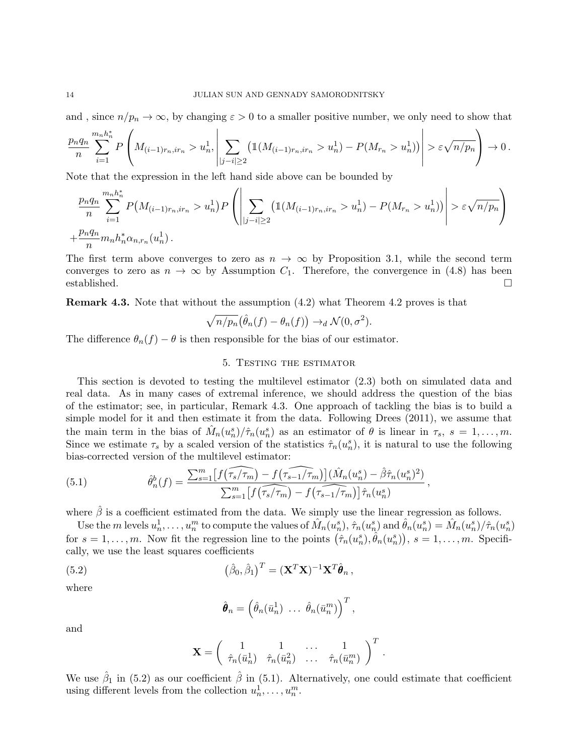and, since  $n/p_n \to \infty$ , by changing  $\varepsilon > 0$  to a smaller positive number, we only need to show that

$$
\frac{p_n q_n}{n} \sum_{i=1}^{m_n h_n^*} P\left(M_{(i-1)r_n, ir_n} > u_n^1, \left| \sum_{|j-i| \ge 2} \left( \mathbb{1}(M_{(i-1)r_n, ir_n} > u_n^1) - P(M_{r_n} > u_n^1) \right) \right| > \varepsilon \sqrt{n/p_n} \right) \to 0.
$$

Note that the expression in the left hand side above can be bounded by

$$
\frac{p_n q_n}{n} \sum_{i=1}^{m_n h_n^*} P(M_{(i-1)r_n, ir_n} > u_n^1) P\left(\left|\sum_{|j-i| \ge 2} (\mathbb{1}(M_{(i-1)r_n, ir_n} > u_n^1) - P(M_{r_n} > u_n^1))\right| > \varepsilon \sqrt{n/p_n}\right)
$$
  
+ 
$$
\frac{p_n q_n}{n} m_n h_n^* \alpha_{n,r_n}(u_n^1).
$$

The first term above converges to zero as  $n \to \infty$  by Proposition 3.1, while the second term converges to zero as  $n \to \infty$  by Assumption  $C_1$ . Therefore, the convergence in (4.8) has been established.

Remark 4.3. Note that without the assumption (4.2) what Theorem 4.2 proves is that

$$
\sqrt{n/p_n}(\hat{\theta}_n(f) - \theta_n(f)) \to_d \mathcal{N}(0, \sigma^2).
$$

The difference  $\theta_n(f) - \theta$  is then responsible for the bias of our estimator.

## 5. Testing the estimator

This section is devoted to testing the multilevel estimator (2.3) both on simulated data and real data. As in many cases of extremal inference, we should address the question of the bias of the estimator; see, in particular, Remark 4.3. One approach of tackling the bias is to build a simple model for it and then estimate it from the data. Following Drees (2011), we assume that the main term in the bias of  $\hat{M}_n(u_n^s)/\hat{\tau}_n(u_n^s)$  as an estimator of  $\theta$  is linear in  $\tau_s$ ,  $s = 1, \ldots, m$ . Since we estimate  $\tau_s$  by a scaled version of the statistics  $\hat{\tau}_n(u_n^s)$ , it is natural to use the following bias-corrected version of the multilevel estimator:

(5.1) 
$$
\hat{\theta}_n^b(f) = \frac{\sum_{s=1}^m \left[ f(\widehat{\tau_s/\tau_m}) - f(\widehat{\tau_{s-1}/\tau_m}) \right] (\hat{M}_n(u_n^s) - \hat{\beta}\hat{\tau}_n(u_n^s)^2)}{\sum_{s=1}^m \left[ f(\widehat{\tau_s/\tau_m}) - f(\widehat{\tau_{s-1}/\tau_m}) \right] \hat{\tau}_n(u_n^s)},
$$

where  $\hat{\beta}$  is a coefficient estimated from the data. We simply use the linear regression as follows.

Use the *m* levels  $u_n^1, \ldots, u_n^m$  to compute the values of  $\hat{M}_n(u_n^s), \hat{\tau}_n(u_n^s)$  and  $\hat{\theta}_n(u_n^s) = \hat{M}_n(u_n^s)/\hat{\tau}_n(u_n^s)$ for  $s = 1, \ldots, m$ . Now fit the regression line to the points  $(\hat{\tau}_n(u_n^s), \hat{\theta}_n(u_n^s)), s = 1, \ldots, m$ . Specifically, we use the least squares coefficients

(5.2) 
$$
(\hat{\beta}_0, \hat{\beta}_1)^T = (\mathbf{X}^T \mathbf{X})^{-1} \mathbf{X}^T \hat{\boldsymbol{\theta}}_n,
$$

where

$$
\hat{\boldsymbol{\theta}}_n = \left(\hat{\theta}_n(\bar{u}_n^1) \ \ldots \ \hat{\theta}_n(\bar{u}_n^m)\right)^T,
$$

and

$$
\mathbf{X} = \left( \begin{array}{cccc} 1 & 1 & \dots & 1 \\ \hat{\tau}_n(\bar{u}_n^1) & \hat{\tau}_n(\bar{u}_n^2) & \dots & \hat{\tau}_n(\bar{u}_n^m) \end{array} \right)^T.
$$

We use  $\hat{\beta}_1$  in (5.2) as our coefficient  $\hat{\beta}$  in (5.1). Alternatively, one could estimate that coefficient using different levels from the collection  $u_n^1, \ldots, u_n^m$ .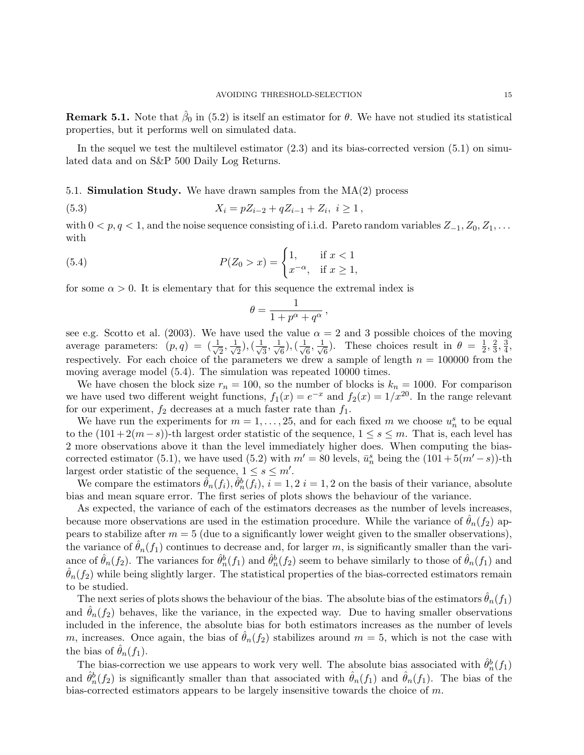**Remark 5.1.** Note that  $\hat{\beta}_0$  in (5.2) is itself an estimator for  $\theta$ . We have not studied its statistical properties, but it performs well on simulated data.

In the sequel we test the multilevel estimator  $(2.3)$  and its bias-corrected version  $(5.1)$  on simulated data and on S&P 500 Daily Log Returns.

5.1. **Simulation Study.** We have drawn samples from the  $MA(2)$  process

(5.3) 
$$
X_i = pZ_{i-2} + qZ_{i-1} + Z_i, \ i \ge 1,
$$

with  $0 < p, q < 1$ , and the noise sequence consisting of i.i.d. Pareto random variables  $Z_{-1}, Z_0, Z_1, \ldots$ with

(5.4) 
$$
P(Z_0 > x) = \begin{cases} 1, & \text{if } x < 1 \\ x^{-\alpha}, & \text{if } x \ge 1, \end{cases}
$$

for some  $\alpha > 0$ . It is elementary that for this sequence the extremal index is

$$
\theta = \frac{1}{1 + p^{\alpha} + q^{\alpha}},
$$

see e.g. Scotto et al. (2003). We have used the value  $\alpha = 2$  and 3 possible choices of the moving average parameters:  $(p, q) = \left(\frac{1}{\sqrt{2}}\right)^{1/2}$  $\frac{1}{2}, \frac{1}{\sqrt{2}}$  $\frac{1}{2}),(\frac{1}{\sqrt{2}})$  $\frac{1}{3}, \frac{1}{\sqrt{3}}$  $\frac{1}{6}),(\frac{1}{\sqrt{2}})$  $\frac{1}{6}, \frac{1}{\sqrt{2}}$  $\frac{1}{6}$ ). These choices result in  $\theta = \frac{1}{2}$  $\frac{1}{2}, \frac{2}{3}$  $\frac{2}{3}, \frac{3}{4}$  $\frac{3}{4}$ , respectively. For each choice of the parameters we drew a sample of length  $n = 100000$  from the moving average model (5.4). The simulation was repeated 10000 times.

We have chosen the block size  $r_n = 100$ , so the number of blocks is  $k_n = 1000$ . For comparison we have used two different weight functions,  $f_1(x) = e^{-x}$  and  $f_2(x) = 1/x^{20}$ . In the range relevant for our experiment,  $f_2$  decreases at a much faster rate than  $f_1$ .

We have run the experiments for  $m = 1, \ldots, 25$ , and for each fixed m we choose  $u_n^s$  to be equal to the  $(101 + 2(m-s))$ -th largest order statistic of the sequence,  $1 \leq s \leq m$ . That is, each level has 2 more observations above it than the level immediately higher does. When computing the biascorrected estimator (5.1), we have used (5.2) with  $m' = 80$  levels,  $\bar{u}_n^s$  being the  $(101 + 5(m'-s))$ -th largest order statistic of the sequence,  $1 \leq s \leq m'$ .

We compare the estimators  $\hat{\theta}_n(f_i), \hat{\theta}_n^b(f_i), i = 1, 2 \ i = 1, 2$  on the basis of their variance, absolute bias and mean square error. The first series of plots shows the behaviour of the variance.

As expected, the variance of each of the estimators decreases as the number of levels increases, because more observations are used in the estimation procedure. While the variance of  $\theta_n(f_2)$  appears to stabilize after  $m = 5$  (due to a significantly lower weight given to the smaller observations), the variance of  $\hat{\theta}_n(f_1)$  continues to decrease and, for larger m, is significantly smaller than the variance of  $\hat{\theta}_n(f_2)$ . The variances for  $\hat{\theta}_n^b(f_1)$  and  $\hat{\theta}_n^b(f_2)$  seem to behave similarly to those of  $\hat{\theta}_n(f_1)$  and  $\hat{\theta}_n(f_2)$  while being slightly larger. The statistical properties of the bias-corrected estimators remain to be studied.

The next series of plots shows the behaviour of the bias. The absolute bias of the estimators  $\hat{\theta}_n(f_1)$ and  $\hat{\theta}_n(f_2)$  behaves, like the variance, in the expected way. Due to having smaller observations included in the inference, the absolute bias for both estimators increases as the number of levels m, increases. Once again, the bias of  $\theta_n(f_2)$  stabilizes around  $m = 5$ , which is not the case with the bias of  $\hat{\theta}_n(f_1)$ .

The bias-correction we use appears to work very well. The absolute bias associated with  $\hat{\theta}_n^b(f_1)$ and  $\hat{\theta}_n^b(f_2)$  is significantly smaller than that associated with  $\hat{\theta}_n(f_1)$  and  $\hat{\theta}_n(f_1)$ . The bias of the bias-corrected estimators appears to be largely insensitive towards the choice of  $m$ .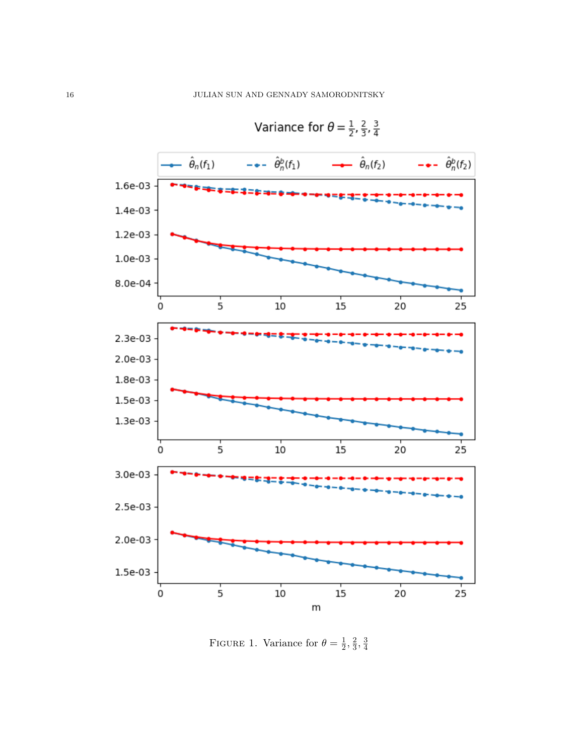

Variance for 
$$
\theta = \frac{1}{2}, \frac{2}{2}, \frac{3}{2}
$$

FIGURE 1. Variance for  $\theta = \frac{1}{2}$  $\frac{1}{2}, \frac{2}{3}$  $\frac{2}{3}, \frac{3}{4}$ 4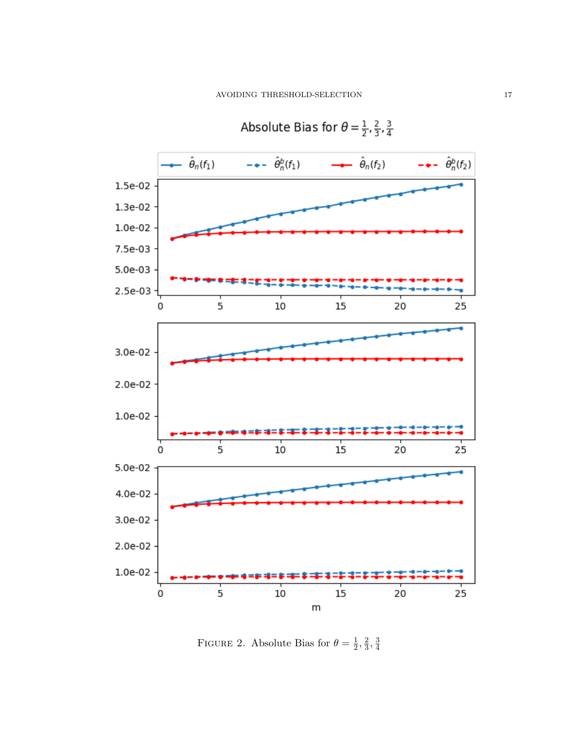

Absolute Bias for 
$$
\theta = \frac{1}{2}, \frac{2}{3}, \frac{3}{4}
$$

FIGURE 2. Absolute Bias for  $\theta = \frac{1}{2}$  $\frac{1}{2}, \frac{2}{3}$  $\frac{2}{3}, \frac{3}{4}$ 4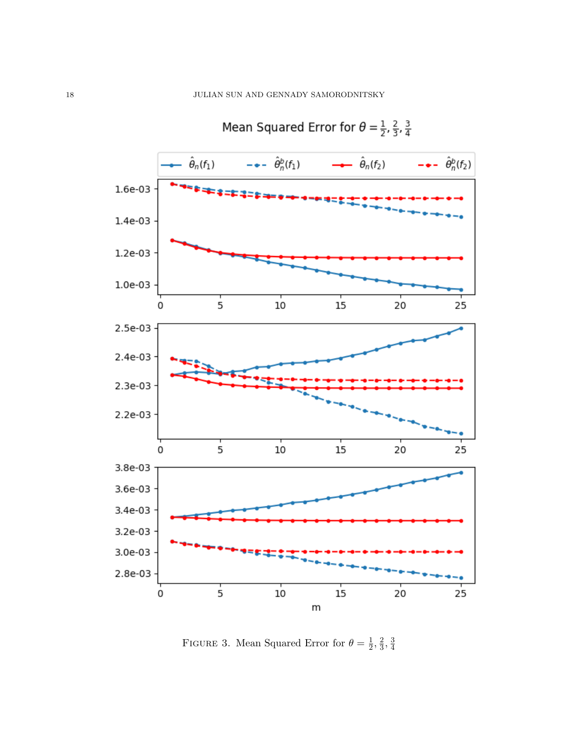

Mean Squared Error for 
$$
\theta = \frac{1}{2}, \frac{2}{3}, \frac{3}{4}
$$

FIGURE 3. Mean Squared Error for  $\theta = \frac{1}{2}$  $\frac{1}{2}, \frac{2}{3}$  $\frac{2}{3}, \frac{3}{4}$ 4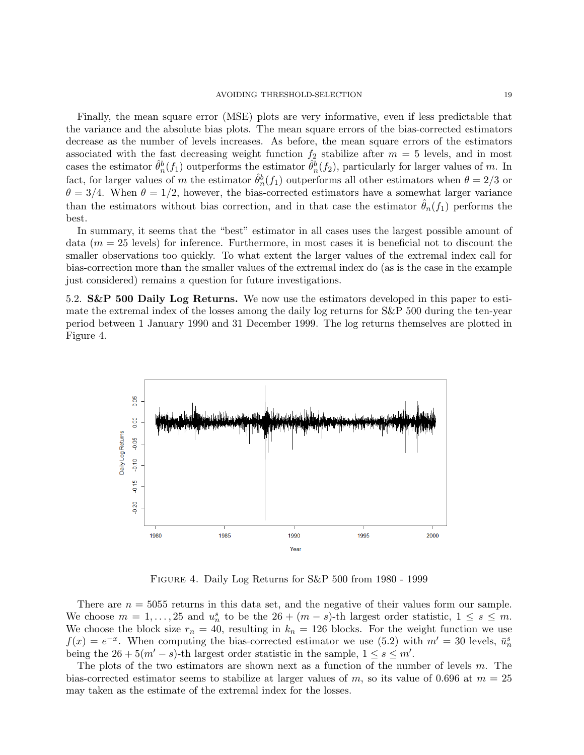Finally, the mean square error (MSE) plots are very informative, even if less predictable that the variance and the absolute bias plots. The mean square errors of the bias-corrected estimators decrease as the number of levels increases. As before, the mean square errors of the estimators associated with the fast decreasing weight function  $f_2$  stabilize after  $m = 5$  levels, and in most cases the estimator  $\hat{\theta}_n^b(f_1)$  outperforms the estimator  $\hat{\theta}_n^b(f_2)$ , particularly for larger values of m. In fact, for larger values of m the estimator  $\hat{\theta}_n^b(f_1)$  outperforms all other estimators when  $\theta = 2/3$  or  $\theta = 3/4$ . When  $\theta = 1/2$ , however, the bias-corrected estimators have a somewhat larger variance than the estimators without bias correction, and in that case the estimator  $\hat{\theta}_n(f_1)$  performs the best.

In summary, it seems that the "best" estimator in all cases uses the largest possible amount of data  $(m = 25$  levels) for inference. Furthermore, in most cases it is beneficial not to discount the smaller observations too quickly. To what extent the larger values of the extremal index call for bias-correction more than the smaller values of the extremal index do (as is the case in the example just considered) remains a question for future investigations.

5.2. **S&P 500 Daily Log Returns.** We now use the estimators developed in this paper to estimate the extremal index of the losses among the daily log returns for S&P 500 during the ten-year period between 1 January 1990 and 31 December 1999. The log returns themselves are plotted in Figure 4.



Figure 4. Daily Log Returns for S&P 500 from 1980 - 1999

There are  $n = 5055$  returns in this data set, and the negative of their values form our sample. We choose  $m = 1, \ldots, 25$  and  $u_n^s$  to be the  $26 + (m - s)$ -th largest order statistic,  $1 \leq s \leq m$ . We choose the block size  $r_n = 40$ , resulting in  $k_n = 126$  blocks. For the weight function we use  $f(x) = e^{-x}$ . When computing the bias-corrected estimator we use (5.2) with  $m' = 30$  levels,  $\bar{u}_n^s$ being the  $26 + 5(m' - s)$ -th largest order statistic in the sample,  $1 \le s \le m'$ .

The plots of the two estimators are shown next as a function of the number of levels m. The bias-corrected estimator seems to stabilize at larger values of m, so its value of 0.696 at  $m = 25$ may taken as the estimate of the extremal index for the losses.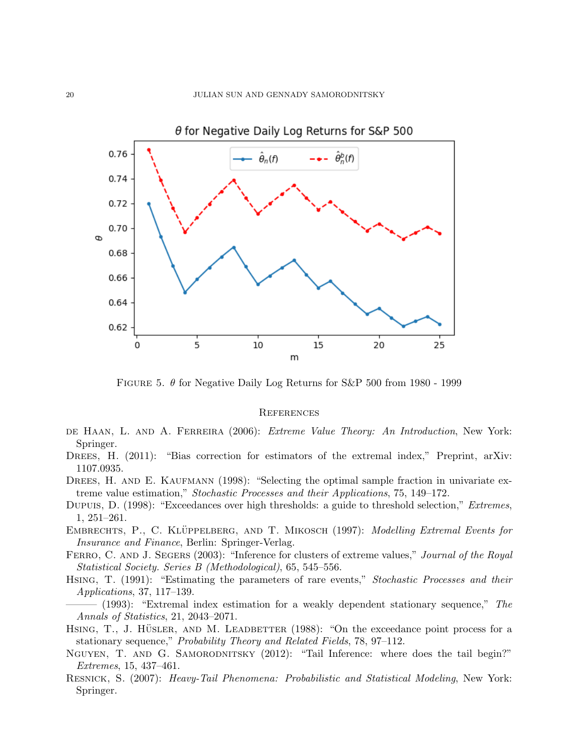

FIGURE 5.  $\theta$  for Negative Daily Log Returns for S&P 500 from 1980 - 1999

### **REFERENCES**

- DE HAAN, L. AND A. FERREIRA (2006): *Extreme Value Theory: An Introduction*, New York: Springer.
- DREES, H. (2011): "Bias correction for estimators of the extremal index," Preprint, arXiv: 1107.0935.
- DREES, H. AND E. KAUFMANN (1998): "Selecting the optimal sample fraction in univariate extreme value estimation," Stochastic Processes and their Applications, 75, 149–172.
- Dupuis, D. (1998): "Exceedances over high thresholds: a guide to threshold selection," *Extremes*, 1, 251–261.
- EMBRECHTS, P., C. KLÜPPELBERG, AND T. MIKOSCH (1997): Modelling Extremal Events for Insurance and Finance, Berlin: Springer-Verlag.
- FERRO, C. AND J. SEGERS (2003): "Inference for clusters of extreme values," Journal of the Royal Statistical Society. Series B (Methodological), 65, 545–556.
- HSING, T. (1991): "Estimating the parameters of rare events," *Stochastic Processes and their* Applications, 37, 117–139.
- $-$  (1993): "Extremal index estimation for a weakly dependent stationary sequence," The Annals of Statistics, 21, 2043–2071.
- HSING, T., J. HÜSLER, AND M. LEADBETTER  $(1988)$ : "On the exceedance point process for a stationary sequence," Probability Theory and Related Fields, 78, 97–112.
- NGUYEN, T. AND G. SAMORODNITSKY (2012): "Tail Inference: where does the tail begin?" Extremes, 15, 437–461.
- Resnick, S. (2007): Heavy-Tail Phenomena: Probabilistic and Statistical Modeling, New York: Springer.